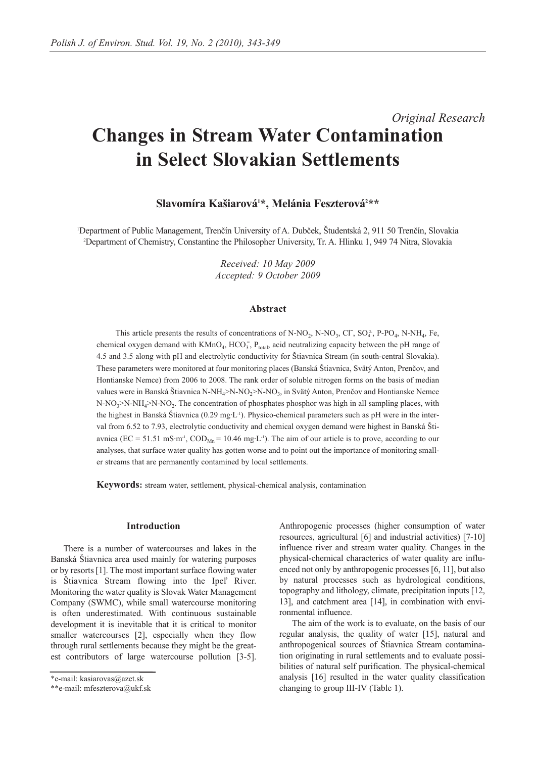# *Original Research* **Changes in Stream Water Contamination in Select Slovakian Settlements**

# **Slavomíra Kašiarová1 \*, Melánia Feszterová2 \*\***

1 Department of Public Management, Trenčín University of A. Dubček, Študentská 2, 911 50 Trenčín, Slovakia 2 Department of Chemistry, Constantine the Philosopher University, Tr. A. Hlinku 1, 949 74 Nitra, Slovakia

> *Received: 10 May 2009 Accepted: 9 October 2009*

# **Abstract**

This article presents the results of concentrations of N-NO<sub>2</sub>, N-NO<sub>3</sub>, Cl<sup>-</sup>, SO<sub>4</sub><sup>2</sup>, P-PO<sub>4</sub>, N-NH<sub>4</sub>, Fe, chemical oxygen demand with  $KMDQ_4$ ,  $HCO<sub>3</sub>$ ,  $P<sub>total</sub>$ , acid neutralizing capacity between the pH range of 4.5 and 3.5 along with pH and electrolytic conductivity for Štiavnica Stream (in south-central Slovakia). These parameters were monitored at four monitoring places (Banská Štiavnica, Svätý Anton, Prenčov, and Hontianske Nemce) from 2006 to 2008. The rank order of soluble nitrogen forms on the basis of median values were in Banská Štiavnica N-NH<sub>4</sub>>N-NO<sub>2</sub>>N-NO<sub>3</sub>, in Svätý Anton, Prenčov and Hontianske Nemce N-NO<sub>3</sub>>N-NH<sub>4</sub>>N-NO<sub>2</sub>. The concentration of phosphates phosphor was high in all sampling places, with the highest in Banská Štiavnica (0.29 mg·L<sup>-1</sup>). Physico-chemical parameters such as pH were in the interval from 6.52 to 7.93, electrolytic conductivity and chemical oxygen demand were highest in Banská Štiavnica ( $EC = 51.51$  mS·m<sup>-1</sup>,  $\text{COD}_{\text{Mn}} = 10.46$  mg·L<sup>-1</sup>). The aim of our article is to prove, according to our analyses, that surface water quality has gotten worse and to point out the importance of monitoring smaller streams that are permanently contamined by local settlements.

**Keywords:** stream water, settlement, physical-chemical analysis, contamination

# **Introduction**

There is a number of watercourses and lakes in the Banská Štiavnica area used mainly for watering purposes or by resorts [1]. The most important surface flowing water is Štiavnica Stream flowing into the Ipeľ River. Monitoring the water quality is Slovak Water Management Company (SWMC), while small watercourse monitoring is often underestimated. With continuous sustainable development it is inevitable that it is critical to monitor smaller watercourses [2], especially when they flow through rural settlements because they might be the greatest contributors of large watercourse pollution [3-5].

Anthropogenic processes (higher consumption of water resources, agricultural [6] and industrial activities) [7-10] influence river and stream water quality. Changes in the physical-chemical characterics of water quality are influenced not only by anthropogenic processes [6, 11], but also by natural processes such as hydrological conditions, topography and lithology, climate, precipitation inputs [12, 13], and catchment area [14], in combination with environmental influence.

The aim of the work is to evaluate, on the basis of our regular analysis, the quality of water [15], natural and anthropogenical sources of Štiavnica Stream contamination originating in rural settlements and to evaluate possibilities of natural self purification. The physical-chemical analysis [16] resulted in the water quality classification changing to group III-IV (Table 1).

<sup>\*</sup>e-mail: kasiarovas@azet.sk

<sup>\*\*</sup>e-mail: mfeszterova@ukf.sk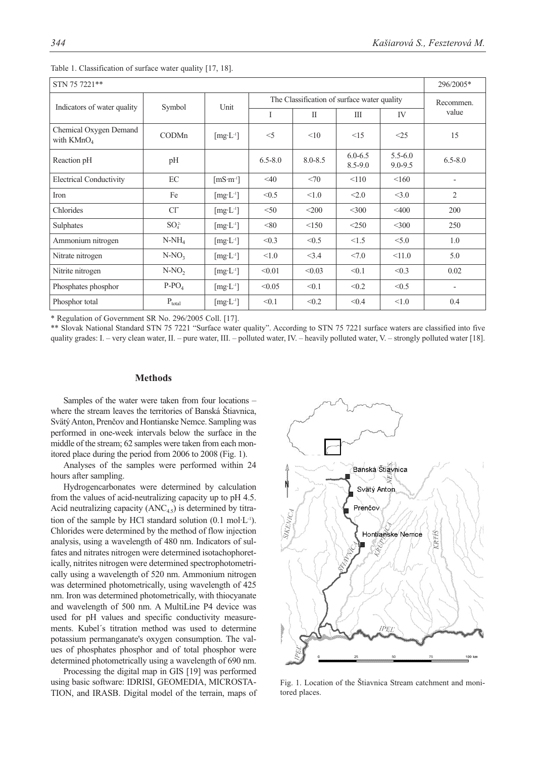| STN 75 7221**                          |                              |            |                                             |              |                            |                            |                          |
|----------------------------------------|------------------------------|------------|---------------------------------------------|--------------|----------------------------|----------------------------|--------------------------|
| Indicators of water quality            | Symbol                       | Unit       | The Classification of surface water quality | Recommen.    |                            |                            |                          |
|                                        |                              |            | Ι                                           | $\mathbf{I}$ | III                        | IV                         | value                    |
| Chemical Oxygen Demand<br>with $KMnO4$ | CODMn                        | $[mg^L]$   | $<$ 5                                       | <10          | <15                        | <25                        | 15                       |
| Reaction pH                            | pH                           |            | $6.5 - 8.0$                                 | $8.0 - 8.5$  | $6.0 - 6.5$<br>$8.5 - 9.0$ | $5.5 - 6.0$<br>$9.0 - 9.5$ | $6.5 - 8.0$              |
| <b>Electrical Conductivity</b>         | EC                           | $[mS·m-1]$ | $<$ 40                                      | <70          | < 110                      | <160                       |                          |
| Iron                                   | Fe                           | $[mg^L]$   | < 0.5                                       | < 1.0        | < 2.0                      | <3.0                       | 2                        |
| Chlorides                              | $CI^{-}$                     | $[mg^L]$   | $<$ 50                                      | $<$ 200      | $<$ 300                    | $<$ 400                    | 200                      |
| Sulphates                              | SO <sub>4</sub> <sup>2</sup> | $[mg^L]$   | < 80                                        | <150         | $\leq$ 250                 | $<$ 300                    | 250                      |
| Ammonium nitrogen                      | $N-NH_4$                     | $[mg^L]$   | < 0.3                                       | < 0.5        | <1.5                       | < 5.0                      | 1.0                      |
| Nitrate nitrogen                       | $N-NO3$                      | $[mg^L]$   | < 1.0                                       | <3.4         | < 7.0                      | < 11.0                     | 5.0                      |
| Nitrite nitrogen                       | $N-NO2$                      | $[mg^L]$   | < 0.01                                      | < 0.03       | < 0.1                      | < 0.3                      | 0.02                     |
| Phosphates phosphor                    | $P-PO4$                      | $[mg^L]$   | < 0.05                                      | < 0.1        | < 0.2                      | < 0.5                      | $\overline{\phantom{a}}$ |
| Phosphor total                         | $P_{total}$                  | $[mg^L]$   | < 0.1                                       | < 0.2        | < 0.4                      | < 1.0                      | 0.4                      |

#### Table 1. Classification of surface water quality [17, 18].

\* Regulation of Government SR No. 296/2005 Coll. [17].

\*\* Slovak National Standard STN 75 7221 "Surface water quality". According to STN 75 7221 surface waters are classified into five quality grades: I. – very clean water, II. – pure water, III. – polluted water, IV. – heavily polluted water, V. – strongly polluted water [18].

### **Methods**

Samples of the water were taken from four locations – where the stream leaves the territories of Banská Štiavnica, Svätý Anton, Prenčov and Hontianske Nemce. Sampling was performed in one-week intervals below the surface in the middle of the stream; 62 samples were taken from each monitored place during the period from 2006 to 2008 (Fig. 1).

Analyses of the samples were performed within 24 hours after sampling.

Hydrogencarbonates were determined by calculation from the values of acid-neutralizing capacity up to pH 4.5. Acid neutralizing capacity  $(ANC<sub>4.5</sub>)$  is determined by titration of the sample by HCl standard solution (0.1 mol·L-1). Chlorides were determined by the method of flow injection analysis, using a wavelength of 480 nm. Indicators of sulfates and nitrates nitrogen were determined isotachophoretically, nitrites nitrogen were determined spectrophotometrically using a wavelength of 520 nm. Ammonium nitrogen was determined photometrically, using wavelength of 425 nm. Iron was determined photometrically, with thiocyanate and wavelength of 500 nm. A MultiLine P4 device was used for pH values and specific conductivity measurements. Kubel´s titration method was used to determine potassium permanganate's oxygen consumption. The values of phosphates phosphor and of total phosphor were determined photometrically using a wavelength of 690 nm.

Processing the digital map in GIS [19] was performed using basic software: IDRISI, GEOMEDIA, MICROSTA-TION, and IRASB. Digital model of the terrain, maps of



Fig. 1. Location of the Štiavnica Stream catchment and monitored places.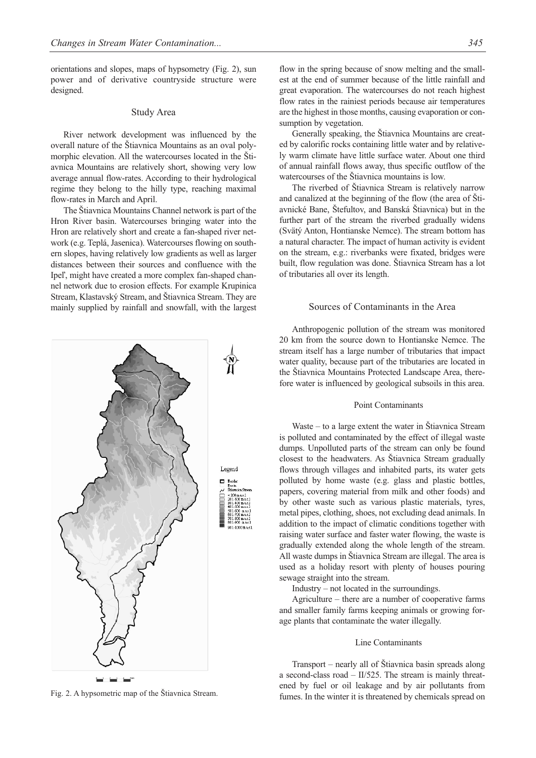orientations and slopes, maps of hypsometry (Fig. 2), sun power and of derivative countryside structure were designed.

#### Study Area

River network development was influenced by the overall nature of the Štiavnica Mountains as an oval polymorphic elevation. All the watercourses located in the Štiavnica Mountains are relatively short, showing very low average annual flow-rates. According to their hydrological regime they belong to the hilly type, reaching maximal flow-rates in March and April.

The Štiavnica Mountains Channel network is part of the Hron River basin. Watercourses bringing water into the Hron are relatively short and create a fan-shaped river network (e.g. Teplá, Jasenica). Watercourses flowing on southern slopes, having relatively low gradients as well as larger distances between their sources and confluence with the Ipeľ, might have created a more complex fan-shaped channel network due to erosion effects. For example Krupinica Stream, Klastavský Stream, and Štiavnica Stream. They are mainly supplied by rainfall and snowfall, with the largest



Fig. 2. A hypsometric map of the Štiavnica Stream.

flow in the spring because of snow melting and the smallest at the end of summer because of the little rainfall and great evaporation. The watercourses do not reach highest flow rates in the rainiest periods because air temperatures are the highest in those months, causing evaporation or consumption by vegetation.

Generally speaking, the Štiavnica Mountains are created by calorific rocks containing little water and by relatively warm climate have little surface water. About one third of annual rainfall flows away, thus specific outflow of the watercourses of the Štiavnica mountains is low.

The riverbed of Štiavnica Stream is relatively narrow and canalized at the beginning of the flow (the area of Štiavnické Bane, Štefultov, and Banská Štiavnica) but in the further part of the stream the riverbed gradually widens (Svätý Anton, Hontianske Nemce). The stream bottom has a natural character. The impact of human activity is evident on the stream, e.g.: riverbanks were fixated, bridges were built, flow regulation was done. Štiavnica Stream has a lot of tributaries all over its length.

# Sources of Contaminants in the Area

Anthropogenic pollution of the stream was monitored 20 km from the source down to Hontianske Nemce. The stream itself has a large number of tributaries that impact water quality, because part of the tributaries are located in the Štiavnica Mountains Protected Landscape Area, therefore water is influenced by geological subsoils in this area.

### Point Contaminants

Waste – to a large extent the water in Štiavnica Stream is polluted and contaminated by the effect of illegal waste dumps. Unpolluted parts of the stream can only be found closest to the headwaters. As Štiavnica Stream gradually flows through villages and inhabited parts, its water gets polluted by home waste (e.g. glass and plastic bottles, papers, covering material from milk and other foods) and by other waste such as various plastic materials, tyres, metal pipes, clothing, shoes, not excluding dead animals. In addition to the impact of climatic conditions together with raising water surface and faster water flowing, the waste is gradually extended along the whole length of the stream. All waste dumps in Štiavnica Stream are illegal. The area is used as a holiday resort with plenty of houses pouring sewage straight into the stream.

Industry – not located in the surroundings.

Agriculture – there are a number of cooperative farms and smaller family farms keeping animals or growing forage plants that contaminate the water illegally.

## Line Contaminants

Transport – nearly all of Štiavnica basin spreads along a second-class road – II/525. The stream is mainly threatened by fuel or oil leakage and by air pollutants from fumes. In the winter it is threatened by chemicals spread on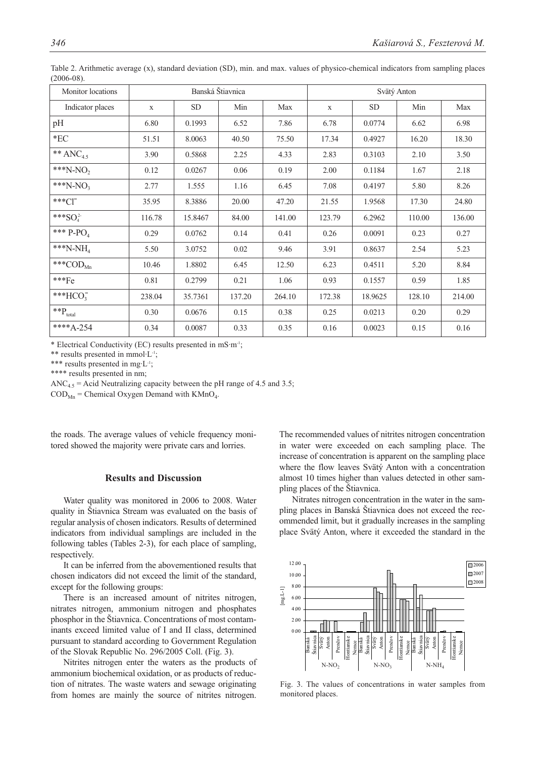| Monitor locations                       | Banská Štiavnica |           |        |        | Svätý Anton  |           |        |        |
|-----------------------------------------|------------------|-----------|--------|--------|--------------|-----------|--------|--------|
| Indicator places                        | $\mathbf X$      | <b>SD</b> | Min    | Max    | $\mathbf{X}$ | <b>SD</b> | Min    | Max    |
| pH                                      | 6.80             | 0.1993    | 6.52   | 7.86   | 6.78         | 0.0774    | 6.62   | 6.98   |
| $\rm ^*EC$                              | 51.51            | 8.0063    | 40.50  | 75.50  | 17.34        | 0.4927    | 16.20  | 18.30  |
| ** $\text{ANC}_{4.5}$                   | 3.90             | 0.5868    | 2.25   | 4.33   | 2.83         | 0.3103    | 2.10   | 3.50   |
| ***N-NO <sub>2</sub>                    | 0.12             | 0.0267    | 0.06   | 0.19   | 2.00         | 0.1184    | 1.67   | 2.18   |
| *** $N-NO_3$                            | 2.77             | 1.555     | 1.16   | 6.45   | 7.08         | 0.4197    | 5.80   | 8.26   |
| $***CI^{-}$                             | 35.95            | 8.3886    | 20.00  | 47.20  | 21.55        | 1.9568    | 17.30  | 24.80  |
| *** $SO_4^{2-}$                         | 116.78           | 15.8467   | 84.00  | 141.00 | 123.79       | 6.2962    | 110.00 | 136.00 |
| *** $P-PO4$                             | 0.29             | 0.0762    | 0.14   | 0.41   | 0.26         | 0.0091    | 0.23   | 0.27   |
| ***N-NH <sub>4</sub>                    | 5.50             | 3.0752    | 0.02   | 9.46   | 3.91         | 0.8637    | 2.54   | 5.23   |
| $**$ COD <sub>Mn</sub>                  | 10.46            | 1.8802    | 6.45   | 12.50  | 6.23         | 0.4511    | 5.20   | 8.84   |
| $***Fe$                                 | 0.81             | 0.2799    | 0.21   | 1.06   | 0.93         | 0.1557    | 0.59   | 1.85   |
| *** $HCO3$                              | 238.04           | 35.7361   | 137.20 | 264.10 | 172.38       | 18.9625   | 128.10 | 214.00 |
| $\overline{^{**}\text{P}_\text{total}}$ | 0.30             | 0.0676    | 0.15   | 0.38   | 0.25         | 0.0213    | 0.20   | 0.29   |
| $***A-254$                              | 0.34             | 0.0087    | 0.33   | 0.35   | 0.16         | 0.0023    | 0.15   | 0.16   |

Table 2. Arithmetic average (x), standard deviation (SD), min. and max. values of physico-chemical indicators from sampling places (2006-08).

\* Electrical Conductivity (EC) results presented in mS·m-1;

\*\* results presented in mmol·L<sup>-1</sup>;

\*\*\* results presented in mg·L<sup>-1</sup>;

\*\*\*\* results presented in nm;

ANC<sub>4.5</sub> = Acid Neutralizing capacity between the pH range of 4.5 and 3.5;

 $\text{COD}_{\text{Mn}}$  = Chemical Oxygen Demand with KMnO<sub>4</sub>.

the roads. The average values of vehicle frequency monitored showed the majority were private cars and lorries.

# **Results and Discussion**

Water quality was monitored in 2006 to 2008. Water quality in Štiavnica Stream was evaluated on the basis of regular analysis of chosen indicators. Results of determined indicators from individual samplings are included in the following tables (Tables 2-3), for each place of sampling, respectively.

It can be inferred from the abovementioned results that chosen indicators did not exceed the limit of the standard, except for the following groups:

There is an increased amount of nitrites nitrogen, nitrates nitrogen, ammonium nitrogen and phosphates phosphor in the Štiavnica. Concentrations of most contaminants exceed limited value of I and II class, determined pursuant to standard according to Government Regulation of the Slovak Republic No. 296/2005 Coll. (Fig. 3).

Nitrites nitrogen enter the waters as the products of ammonium biochemical oxidation, or as products of reduction of nitrates. The waste waters and sewage originating from homes are mainly the source of nitrites nitrogen.

The recommended values of nitrites nitrogen concentration in water were exceeded on each sampling place. The increase of concentration is apparent on the sampling place where the flow leaves Svätý Anton with a concentration almost 10 times higher than values detected in other sampling places of the Štiavnica.

Nitrates nitrogen concentration in the water in the sampling places in Banská Štiavnica does not exceed the recommended limit, but it gradually increases in the sampling place Svätý Anton, where it exceeded the standard in the



Fig. 3. The values of concentrations in water samples from monitored places.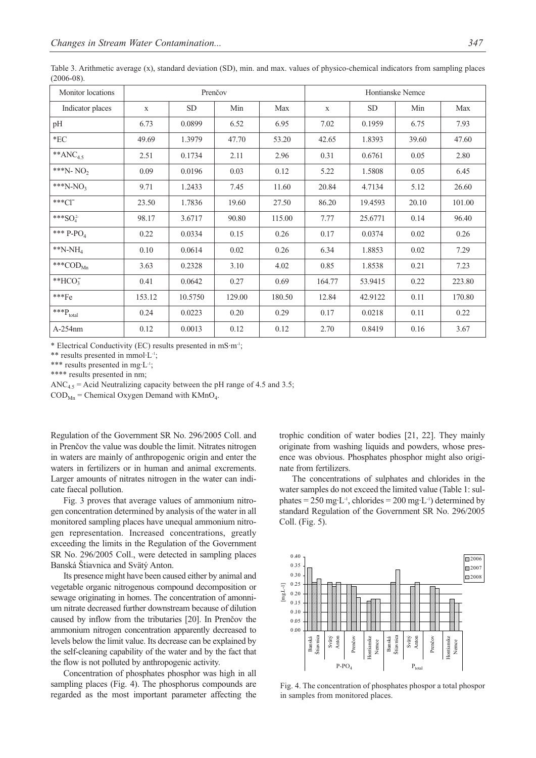| Monitor locations                     | Prenčov      |           |        |        | Hontianske Nemce |           |       |        |
|---------------------------------------|--------------|-----------|--------|--------|------------------|-----------|-------|--------|
| Indicator places                      | $\mathbf{X}$ | <b>SD</b> | Min    | Max    | $\mathbf X$      | <b>SD</b> | Min   | Max    |
| pH                                    | 6.73         | 0.0899    | 6.52   | 6.95   | 7.02             | 0.1959    | 6.75  | 7.93   |
| $*$ EC                                | 49.69        | 1.3979    | 47.70  | 53.20  | 42.65            | 1.8393    | 39.60 | 47.60  |
| ** $ANC_{4.5}$                        | 2.51         | 0.1734    | 2.11   | 2.96   | 0.31             | 0.6761    | 0.05  | 2.80   |
| ***N- $NO2$                           | 0.09         | 0.0196    | 0.03   | 0.12   | 5.22             | 1.5808    | 0.05  | 6.45   |
| ***N-NO <sub>3</sub>                  | 9.71         | 1.2433    | 7.45   | 11.60  | 20.84            | 4.7134    | 5.12  | 26.60  |
| $***C$ <sup>-</sup>                   | 23.50        | 1.7836    | 19.60  | 27.50  | 86.20            | 19.4593   | 20.10 | 101.00 |
| *** $SO_4^{2-}$                       | 98.17        | 3.6717    | 90.80  | 115.00 | 7.77             | 25.6771   | 0.14  | 96.40  |
| *** $P-PO_4$                          | 0.22         | 0.0334    | 0.15   | 0.26   | 0.17             | 0.0374    | 0.02  | 0.26   |
| $*N-NH_4$                             | 0.10         | 0.0614    | 0.02   | 0.26   | 6.34             | 1.8853    | 0.02  | 7.29   |
| $\rm ^{***COD_{Mn}}$                  | 3.63         | 0.2328    | 3.10   | 4.02   | 0.85             | 1.8538    | 0.21  | 7.23   |
| $*HCO3$                               | 0.41         | 0.0642    | 0.27   | 0.69   | 164.77           | 53.9415   | 0.22  | 223.80 |
| $***Fe$                               | 153.12       | 10.5750   | 129.00 | 180.50 | 12.84            | 42.9122   | 0.11  | 170.80 |
| $\ast\ast\mathrm{P}_{\mathrm{total}}$ | 0.24         | 0.0223    | 0.20   | 0.29   | 0.17             | 0.0218    | 0.11  | 0.22   |
| $A-254$ nm                            | 0.12         | 0.0013    | 0.12   | 0.12   | 2.70             | 0.8419    | 0.16  | 3.67   |

Table 3. Arithmetic average (x), standard deviation (SD), min. and max. values of physico-chemical indicators from sampling places  $(2006 - 08)$ 

\* Electrical Conductivity (EC) results presented in mS·m-1;

\*\* results presented in mmol·L<sup>-1</sup>;

\*\*\* results presented in mg·L<sup>-1</sup>;

\*\*\*\* results presented in nm;

 $ANC<sub>4.5</sub> = Acid Neutraliizing capacity between the pH range of 4.5 and 3.5;$ 

 $\text{COD}_{\text{Mn}}$  = Chemical Oxygen Demand with KMnO<sub>4</sub>.

Regulation of the Government SR No. 296/2005 Coll. and in Prenčov the value was double the limit. Nitrates nitrogen in waters are mainly of anthropogenic origin and enter the waters in fertilizers or in human and animal excrements. Larger amounts of nitrates nitrogen in the water can indicate faecal pollution.

Fig. 3 proves that average values of ammonium nitrogen concentration determined by analysis of the water in all monitored sampling places have unequal ammonium nitrogen representation. Increased concentrations, greatly exceeding the limits in the Regulation of the Government SR No. 296/2005 Coll., were detected in sampling places Banská Štiavnica and Svätý Anton.

Its presence might have been caused either by animal and vegetable organic nitrogenous compound decomposition or sewage originating in homes. The concentration of amonnium nitrate decreased further downstream because of dilution caused by inflow from the tributaries [20]. In Prenčov the ammonium nitrogen concentration apparently decreased to levels below the limit value. Its decrease can be explained by the self-cleaning capability of the water and by the fact that the flow is not polluted by anthropogenic activity.

Concentration of phosphates phosphor was high in all sampling places (Fig. 4). The phosphorus compounds are regarded as the most important parameter affecting the trophic condition of water bodies [21, 22]. They mainly originate from washing liquids and powders, whose presence was obvious. Phosphates phosphor might also originate from fertilizers.

The concentrations of sulphates and chlorides in the water samples do not exceed the limited value (Table 1: sulphates =  $250 \text{ mg} \cdot \text{L}^{-1}$ , chlorides =  $200 \text{ mg} \cdot \text{L}^{-1}$ ) determined by standard Regulation of the Government SR No. 296/2005 Coll. (Fig. 5).



Fig. 4. The concentration of phosphates phospor a total phospor in samples from monitored places.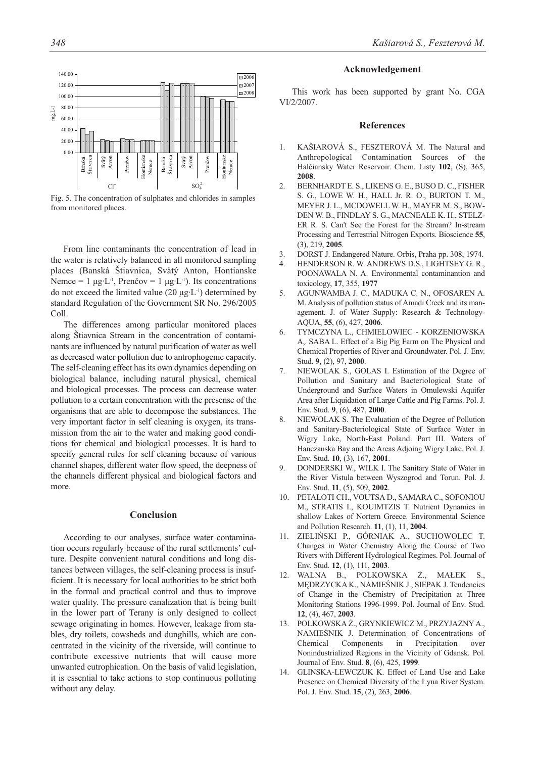This work has been supported by grant No. CGA VI/2/2007.

### **References**

**Acknowledgement**

- 1. KAŠIAROVÁ S., FESZTEROVÁ M. The Natural and Anthropological Contamination Sources of the Halčiansky Water Reservoir. Chem. Listy **102**, (S), 365, **2008**.
- 2. BERNHARDT E. S., LIKENS G. E., BUSO D. C., FISHER S. G., LOWE W. H., HALL Jr. R. O., BURTON T. M., MEYER J. L., MCDOWELL W. H., MAYER M. S., BOW-DEN W. B., FINDLAY S. G., MACNEALE K. H., STELZ-ER R. S. Can't See the Forest for the Stream? In-stream Processing and Terrestrial Nitrogen Exports. Bioscience **55**, (3), 219, **2005**.
- 3. DORST J. Endangered Nature. Orbis, Praha pp. 308, 1974.
- 4. HENDERSON R. W. ANDREWS D.S., LIGHTSEY G. R., POONAWALA N. A. Environmental contaminantion and toxicology, **17**, 355, **1977**
- 5. AGUNWAMBA J. C., MADUKA C. N., OFOSAREN A. M. Analysis of pollution status of Amadi Creek and its management. J. of Water Supply: Research & Technology-AQUA, **55**, (6), 427, **2006**.
- 6. TYMCZYNA L., CHMIELOWIEC KORZENIOWSKA A,. SABA L. Effect of a Big Pig Farm on The Physical and Chemical Properties of River and Groundwater. Pol. J. Env. Stud. **9**, (2), 97, **2000**.
- 7. NIEWOLAK S., GOLAS I. Estimation of the Degree of Pollution and Sanitary and Bacteriological State of Underground and Surface Waters in Omulewski Aquifer Area after Liquidation of Large Cattle and Pig Farms. Pol. J. Env. Stud. **9**, (6), 487, **2000**.
- 8. NIEWOLAK S. The Evaluation of the Degree of Pollution and Sanitary-Bacteriological State of Surface Water in Wigry Lake, North-East Poland. Part III. Waters of Hanczanska Bay and the Areas Adjoing Wigry Lake. Pol. J. Env. Stud. **10**, (3), 167, **2001**.
- 9. DONDERSKI W., WILK I. The Sanitary State of Water in the River Vistula between Wyszogrod and Torun. Pol. J. Env. Stud. **11**, (5), 509, **2002**.
- 10. PETALOTI CH., VOUTSA D., SAMARA C., SOFONIOU M., STRATIS I., KOUIMTZIS T. Nutrient Dynamics in shallow Lakes of Nortern Greece. Environmental Science and Pollution Research. **11**, (1), 11, **2004**.
- 11. ZIELIŃSKI P., GÓRNIAK A., SUCHOWOLEC T. Changes in Water Chemistry Along the Course of Two Rivers with Different Hydrological Regimes. Pol. Journal of Env. Stud. **12**, (1), 111, **2003**.
- 12. WALNA B., POLKOWSKA Ż., MAŁEK MĘDRZYCKA K., NAMIEŚNIK J., SIEPAK J. Tendencies of Change in the Chemistry of Precipitation at Three Monitoring Stations 1996-1999. Pol. Journal of Env. Stud. **12**, (4), 467, **2003**.
- 13. POLKOWSKA Ż., GRYNKIEWICZ M., PRZYJAZNY A., NAMIEŚNIK J. Determination of Concentrations of Chemical Components in Precipitation over Nonindustrialized Regions in the Vicinity of Gdansk. Pol. Journal of Env. Stud. **8**, (6), 425, **1999**.
- 14. GLINSKA-LEWCZUK K. Effect of Land Use and Lake Presence on Chemical Diversity of the Łyna River System. Pol. J. Env. Stud. **15**, (2), 263, **2006**.



 $\sqrt{200}$  $2007$ ■2008

From line contaminants the concentration of lead in the water is relatively balanced in all monitored sampling places (Banská Štiavnica, Svätý Anton, Hontianske Nemce = 1  $\mu$ g·L<sup>-1</sup>, Prenčov = 1  $\mu$ g·L<sup>-1</sup>). Its concentrations do not exceed the limited value  $(20 \mu g \cdot L<sup>1</sup>)$  determined by standard Regulation of the Government SR No. 296/2005 Coll.

The differences among particular monitored places along Štiavnica Stream in the concentration of contaminants are influenced by natural purification of water as well as decreased water pollution due to antrophogenic capacity. The self-cleaning effect has its own dynamics depending on biological balance, including natural physical, chemical and biological processes. The process can decrease water pollution to a certain concentration with the presense of the organisms that are able to decompose the substances. The very important factor in self cleaning is oxygen, its transmission from the air to the water and making good conditions for chemical and biological processes. It is hard to specify general rules for self cleaning because of various channel shapes, different water flow speed, the deepness of the channels different physical and biological factors and more.

#### **Conclusion**

According to our analyses, surface water contamination occurs regularly because of the rural settlements' culture. Despite convenient natural conditions and long distances between villages, the self-cleaning process is insufficient. It is necessary for local authorities to be strict both in the formal and practical control and thus to improve water quality. The pressure canalization that is being built in the lower part of Terany is only designed to collect sewage originating in homes. However, leakage from stables, dry toilets, cowsheds and dunghills, which are concentrated in the vicinity of the riverside, will continue to contribute excessive nutrients that will cause more unwanted eutrophication. On the basis of valid legislation, it is essential to take actions to stop continuous polluting without any delay.

mg.L-1

 $0.00$ 20.00 40.00 60.00 80.00 100.00 120.00 140.00